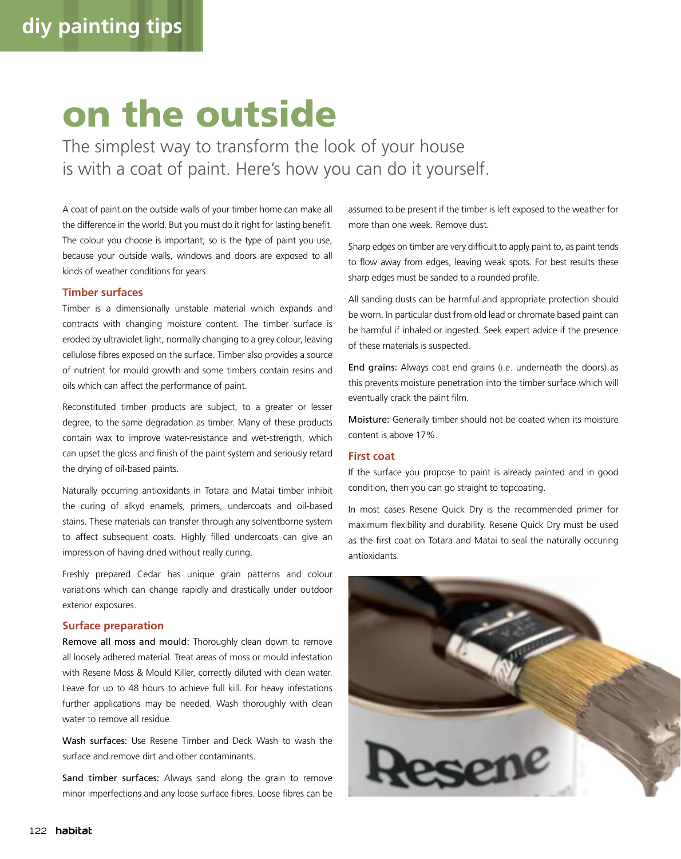# on the outside

The simplest way to transform the look of your house is with a coat of paint. Here's how you can do it yourself.

A coat of paint on the outside walls of your timber home can make all the difference in the world. But you must do it right for lasting benefit. The colour you choose is important; so is the type of paint you use, because your outside walls, windows and doors are exposed to all kinds of weather conditions for years.

## **Timber surfaces**

Timber is a dimensionally unstable material which expands and contracts with changing moisture content. The timber surface is eroded by ultraviolet light, normally changing to a grey colour, leaving cellulose fibres exposed on the surface. Timber also provides a source of nutrient for mould growth and some timbers contain resins and oils which can affect the performance of paint.

Reconstituted timber products are subject, to a greater or lesser degree, to the same degradation as timber. Many of these products contain wax to improve water-resistance and wet-strength, which can upset the gloss and finish of the paint system and seriously retard the drying of oil-based paints.

Naturally occurring antioxidants in Totara and Matai timber inhibit the curing of alkyd enamels, primers, undercoats and oil-based stains. These materials can transfer through any solventborne system to affect subsequent coats. Highly filled undercoats can give an impression of having dried without really curing.

Freshly prepared Cedar has unique grain patterns and colour variations which can change rapidly and drastically under outdoor exterior exposures.

#### **Surface preparation**

Remove all moss and mould: Thoroughly clean down to remove all loosely adhered material. Treat areas of moss or mould infestation with Resene Moss & Mould Killer, correctly diluted with clean water. Leave for up to 48 hours to achieve full kill. For heavy infestations further applications may be needed. Wash thoroughly with clean water to remove all residue.

Wash surfaces: Use Resene Timber and Deck Wash to wash the surface and remove dirt and other contaminants.

Sand timber surfaces: Always sand along the grain to remove minor imperfections and any loose surface fibres. Loose fibres can be assumed to be present if the timber is left exposed to the weather for more than one week. Remove dust.

Sharp edges on timber are very difficult to apply paint to, as paint tends to flow away from edges, leaving weak spots. For best results these sharp edges must be sanded to a rounded profile.

All sanding dusts can be harmful and appropriate protection should be worn. In particular dust from old lead or chromate based paint can be harmful if inhaled or ingested. Seek expert advice if the presence of these materials is suspected.

End grains: Always coat end grains (i.e. underneath the doors) as this prevents moisture penetration into the timber surface which will eventually crack the paint film.

Moisture: Generally timber should not be coated when its moisture content is above 17%.

### **First coat**

If the surface you propose to paint is already painted and in good condition, then you can go straight to topcoating.

In most cases Resene Quick Dry is the recommended primer for maximum flexibility and durability. Resene Quick Dry must be used as the first coat on Totara and Matai to seal the naturally occuring antioxidants.